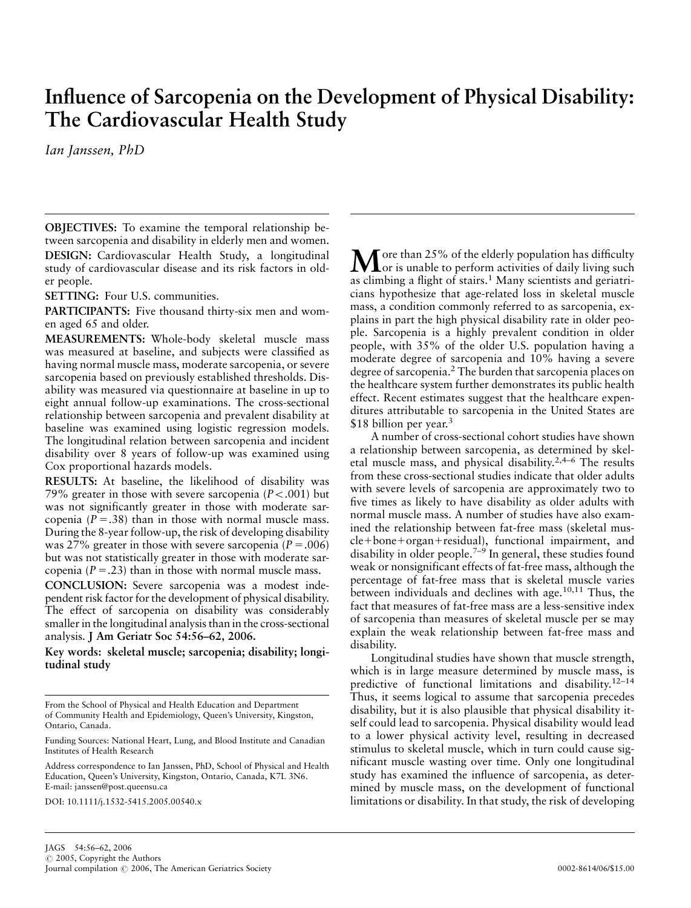# Influence of Sarcopenia on the Development of Physical Disability: The Cardiovascular Health Study

Ian Janssen, PhD

OBJECTIVES: To examine the temporal relationship between sarcopenia and disability in elderly men and women. DESIGN: Cardiovascular Health Study, a longitudinal study of cardiovascular disease and its risk factors in older people.

SETTING: Four U.S. communities.

PARTICIPANTS: Five thousand thirty-six men and women aged 65 and older.

MEASUREMENTS: Whole-body skeletal muscle mass was measured at baseline, and subjects were classified as having normal muscle mass, moderate sarcopenia, or severe sarcopenia based on previously established thresholds. Disability was measured via questionnaire at baseline in up to eight annual follow-up examinations. The cross-sectional relationship between sarcopenia and prevalent disability at baseline was examined using logistic regression models. The longitudinal relation between sarcopenia and incident disability over 8 years of follow-up was examined using Cox proportional hazards models.

RESULTS: At baseline, the likelihood of disability was 79% greater in those with severe sarcopenia ( $P < .001$ ) but was not significantly greater in those with moderate sarcopenia ( $P = .38$ ) than in those with normal muscle mass. During the 8-year follow-up, the risk of developing disability was 27% greater in those with severe sarcopenia ( $P = .006$ ) but was not statistically greater in those with moderate sarcopenia ( $P = .23$ ) than in those with normal muscle mass.

CONCLUSION: Severe sarcopenia was a modest independent risk factor for the development of physical disability. The effect of sarcopenia on disability was considerably smaller in the longitudinal analysis than in the cross-sectional analysis. J Am Geriatr Soc 54:56–62, 2006.

Key words: skeletal muscle; sarcopenia; disability; longitudinal study

DOI: 10.1111/j.1532-5415.2005.00540.x

More than 25% of the elderly population has difficulty<br>or is unable to perform activities of daily living such as climbing a flight of stairs.<sup>1</sup> Many scientists and geriatricians hypothesize that age-related loss in skeletal muscle mass, a condition commonly referred to as sarcopenia, explains in part the high physical disability rate in older people. Sarcopenia is a highly prevalent condition in older people, with 35% of the older U.S. population having a moderate degree of sarcopenia and 10% having a severe degree of sarcopenia.2 The burden that sarcopenia places on the healthcare system further demonstrates its public health effect. Recent estimates suggest that the healthcare expenditures attributable to sarcopenia in the United States are \$18 billion per year.<sup>3</sup>

A number of cross-sectional cohort studies have shown a relationship between sarcopenia, as determined by skeletal muscle mass, and physical disability.2,4–6 The results from these cross-sectional studies indicate that older adults with severe levels of sarcopenia are approximately two to five times as likely to have disability as older adults with normal muscle mass. A number of studies have also examined the relationship between fat-free mass (skeletal muscle+bone+organ+residual), functional impairment, and disability in older people.<sup> $7-9$ </sup> In general, these studies found weak or nonsignificant effects of fat-free mass, although the percentage of fat-free mass that is skeletal muscle varies between individuals and declines with age.10,11 Thus, the fact that measures of fat-free mass are a less-sensitive index of sarcopenia than measures of skeletal muscle per se may explain the weak relationship between fat-free mass and disability.

Longitudinal studies have shown that muscle strength, which is in large measure determined by muscle mass, is predictive of functional limitations and disability.<sup>12-14</sup> Thus, it seems logical to assume that sarcopenia precedes disability, but it is also plausible that physical disability itself could lead to sarcopenia. Physical disability would lead to a lower physical activity level, resulting in decreased stimulus to skeletal muscle, which in turn could cause significant muscle wasting over time. Only one longitudinal study has examined the influence of sarcopenia, as determined by muscle mass, on the development of functional limitations or disability. In that study, the risk of developing

From the School of Physical and Health Education and Department of Community Health and Epidemiology, Queen's University, Kingston, Ontario, Canada.

Funding Sources: National Heart, Lung, and Blood Institute and Canadian Institutes of Health Research

Address correspondence to Ian Janssen, PhD, School of Physical and Health Education, Queen's University, Kingston, Ontario, Canada, K7L 3N6. E-mail: janssen@post.queensu.ca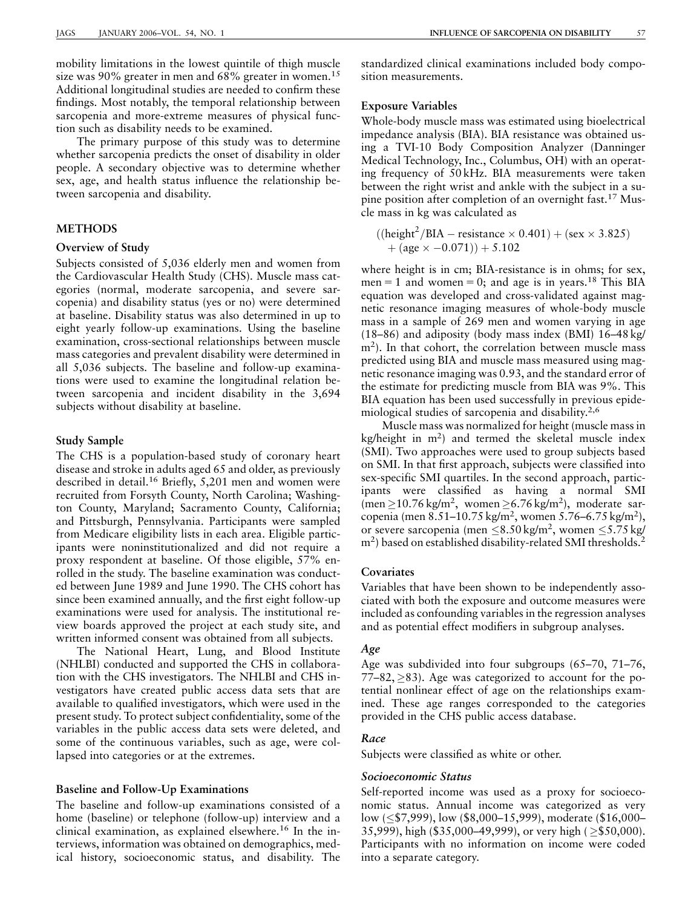mobility limitations in the lowest quintile of thigh muscle size was  $90\%$  greater in men and  $68\%$  greater in women.<sup>15</sup> Additional longitudinal studies are needed to confirm these findings. Most notably, the temporal relationship between sarcopenia and more-extreme measures of physical function such as disability needs to be examined.

The primary purpose of this study was to determine whether sarcopenia predicts the onset of disability in older people. A secondary objective was to determine whether sex, age, and health status influence the relationship between sarcopenia and disability.

#### **METHODS**

#### Overview of Study

Subjects consisted of 5,036 elderly men and women from the Cardiovascular Health Study (CHS). Muscle mass categories (normal, moderate sarcopenia, and severe sarcopenia) and disability status (yes or no) were determined at baseline. Disability status was also determined in up to eight yearly follow-up examinations. Using the baseline examination, cross-sectional relationships between muscle mass categories and prevalent disability were determined in all 5,036 subjects. The baseline and follow-up examinations were used to examine the longitudinal relation between sarcopenia and incident disability in the 3,694 subjects without disability at baseline.

### Study Sample

The CHS is a population-based study of coronary heart disease and stroke in adults aged 65 and older, as previously described in detail.16 Briefly, 5,201 men and women were recruited from Forsyth County, North Carolina; Washington County, Maryland; Sacramento County, California; and Pittsburgh, Pennsylvania. Participants were sampled from Medicare eligibility lists in each area. Eligible participants were noninstitutionalized and did not require a proxy respondent at baseline. Of those eligible, 57% enrolled in the study. The baseline examination was conducted between June 1989 and June 1990. The CHS cohort has since been examined annually, and the first eight follow-up examinations were used for analysis. The institutional review boards approved the project at each study site, and written informed consent was obtained from all subjects.

The National Heart, Lung, and Blood Institute (NHLBI) conducted and supported the CHS in collaboration with the CHS investigators. The NHLBI and CHS investigators have created public access data sets that are available to qualified investigators, which were used in the present study. To protect subject confidentiality, some of the variables in the public access data sets were deleted, and some of the continuous variables, such as age, were collapsed into categories or at the extremes.

#### Baseline and Follow-Up Examinations

The baseline and follow-up examinations consisted of a home (baseline) or telephone (follow-up) interview and a clinical examination, as explained elsewhere.<sup>16</sup> In the interviews, information was obtained on demographics, medical history, socioeconomic status, and disability. The standardized clinical examinations included body composition measurements.

## Exposure Variables

Whole-body muscle mass was estimated using bioelectrical impedance analysis (BIA). BIA resistance was obtained using a TVI-10 Body Composition Analyzer (Danninger Medical Technology, Inc., Columbus, OH) with an operating frequency of 50 kHz. BIA measurements were taken between the right wrist and ankle with the subject in a supine position after completion of an overnight fast.<sup>17</sup> Muscle mass in kg was calculated as

 $((height<sup>2</sup>/BIA - resistance × 0.401) + (sex × 3.825)$  $+(age \times -0.071)) + 5.102$ 

where height is in cm; BIA-resistance is in ohms; for sex, men = 1 and women = 0; and age is in years.<sup>18</sup> This BIA equation was developed and cross-validated against magnetic resonance imaging measures of whole-body muscle mass in a sample of 269 men and women varying in age (18–86) and adiposity (body mass index (BMI) 16–48 kg/  $(m<sup>2</sup>)$ . In that cohort, the correlation between muscle mass predicted using BIA and muscle mass measured using magnetic resonance imaging was 0.93, and the standard error of the estimate for predicting muscle from BIA was 9%. This BIA equation has been used successfully in previous epidemiological studies of sarcopenia and disability.2,6

Muscle mass was normalized for height (muscle mass in kg/height in  $m^2$ ) and termed the skeletal muscle index (SMI). Two approaches were used to group subjects based on SMI. In that first approach, subjects were classified into sex-specific SMI quartiles. In the second approach, participants were classified as having a normal SMI (men  $\geq$ 10.76 kg/m<sup>2</sup>, women  $\geq$ 6.76 kg/m<sup>2</sup>), moderate sarcopenia (men 8.51–10.75 kg/m<sup>2</sup>, women 5.76–6.75 kg/m<sup>2</sup>), or severe sarcopenia (men  $\leq$ 8.50 kg/m<sup>2</sup>, women  $\leq$ 5.75 kg/ m<sup>2</sup>) based on established disability-related SMI thresholds.<sup>2</sup>

## Covariates

Variables that have been shown to be independently associated with both the exposure and outcome measures were included as confounding variables in the regression analyses and as potential effect modifiers in subgroup analyses.

#### Age

Age was subdivided into four subgroups (65–70, 71–76,  $77-82, >83$ ). Age was categorized to account for the potential nonlinear effect of age on the relationships examined. These age ranges corresponded to the categories provided in the CHS public access database.

#### Race

Subjects were classified as white or other.

#### Socioeconomic Status

Self-reported income was used as a proxy for socioeconomic status. Annual income was categorized as very low (\$7,999), low (\$8,000–15,999), moderate (\$16,000– 35,999), high (\$35,000–49,999), or very high ( $\ge$ \$50,000). Participants with no information on income were coded into a separate category.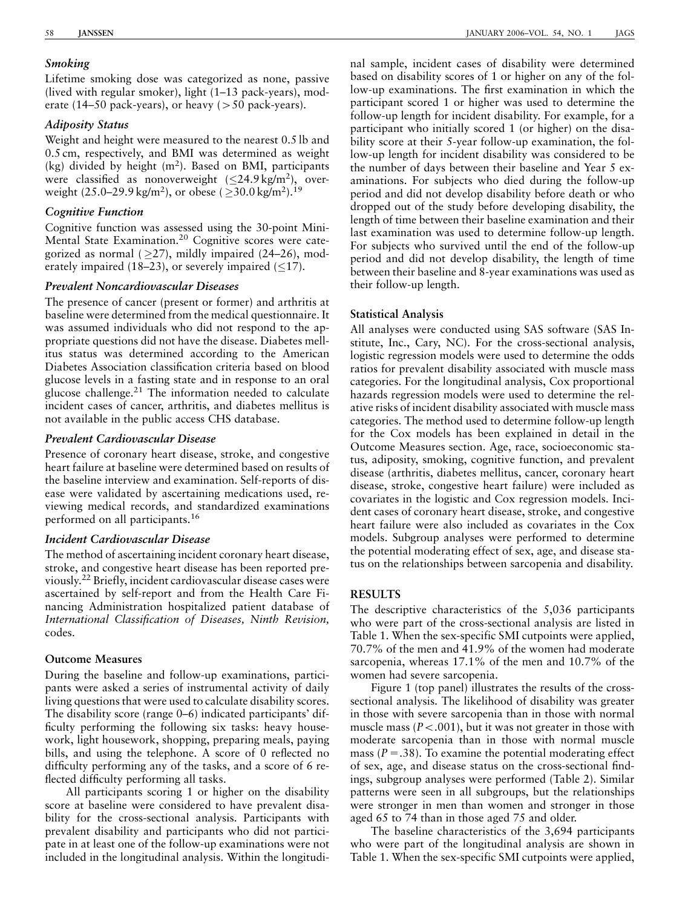## Smoking

Lifetime smoking dose was categorized as none, passive (lived with regular smoker), light (1–13 pack-years), moderate (14–50 pack-years), or heavy  $(> 50$  pack-years).

## Adiposity Status

Weight and height were measured to the nearest 0.5 lb and 0.5 cm, respectively, and BMI was determined as weight (kg) divided by height  $(m^2)$ . Based on BMI, participants were classified as nonoverweight  $(\leq 24.9 \text{ kg/m}^2)$ , overweight  $(25.0-29.9 \text{ kg/m}^2)$ , or obese ( $> 30.0 \text{ kg/m}^2$ ).<sup>19</sup>

## Cognitive Function

Cognitive function was assessed using the 30-point Mini-Mental State Examination.<sup>20</sup> Cognitive scores were categorized as normal ( $\geq$ 27), mildly impaired (24–26), moderately impaired (18–23), or severely impaired ( $\leq$ 17).

## Prevalent Noncardiovascular Diseases

The presence of cancer (present or former) and arthritis at baseline were determined from the medical questionnaire. It was assumed individuals who did not respond to the appropriate questions did not have the disease. Diabetes mellitus status was determined according to the American Diabetes Association classification criteria based on blood glucose levels in a fasting state and in response to an oral glucose challenge.<sup>21</sup> The information needed to calculate incident cases of cancer, arthritis, and diabetes mellitus is not available in the public access CHS database.

# Prevalent Cardiovascular Disease

Presence of coronary heart disease, stroke, and congestive heart failure at baseline were determined based on results of the baseline interview and examination. Self-reports of disease were validated by ascertaining medications used, reviewing medical records, and standardized examinations performed on all participants.16

## Incident Cardiovascular Disease

The method of ascertaining incident coronary heart disease, stroke, and congestive heart disease has been reported previously.22 Briefly, incident cardiovascular disease cases were ascertained by self-report and from the Health Care Financing Administration hospitalized patient database of International Classification of Diseases, Ninth Revision, codes.

## Outcome Measures

During the baseline and follow-up examinations, participants were asked a series of instrumental activity of daily living questions that were used to calculate disability scores. The disability score (range 0–6) indicated participants' difficulty performing the following six tasks: heavy housework, light housework, shopping, preparing meals, paying bills, and using the telephone. A score of 0 reflected no difficulty performing any of the tasks, and a score of 6 reflected difficulty performing all tasks.

All participants scoring 1 or higher on the disability score at baseline were considered to have prevalent disability for the cross-sectional analysis. Participants with prevalent disability and participants who did not participate in at least one of the follow-up examinations were not included in the longitudinal analysis. Within the longitudinal sample, incident cases of disability were determined based on disability scores of 1 or higher on any of the follow-up examinations. The first examination in which the participant scored 1 or higher was used to determine the follow-up length for incident disability. For example, for a participant who initially scored 1 (or higher) on the disability score at their 5-year follow-up examination, the follow-up length for incident disability was considered to be the number of days between their baseline and Year 5 examinations. For subjects who died during the follow-up period and did not develop disability before death or who dropped out of the study before developing disability, the length of time between their baseline examination and their last examination was used to determine follow-up length. For subjects who survived until the end of the follow-up period and did not develop disability, the length of time between their baseline and 8-year examinations was used as their follow-up length.

# Statistical Analysis

All analyses were conducted using SAS software (SAS Institute, Inc., Cary, NC). For the cross-sectional analysis, logistic regression models were used to determine the odds ratios for prevalent disability associated with muscle mass categories. For the longitudinal analysis, Cox proportional hazards regression models were used to determine the relative risks of incident disability associated with muscle mass categories. The method used to determine follow-up length for the Cox models has been explained in detail in the Outcome Measures section. Age, race, socioeconomic status, adiposity, smoking, cognitive function, and prevalent disease (arthritis, diabetes mellitus, cancer, coronary heart disease, stroke, congestive heart failure) were included as covariates in the logistic and Cox regression models. Incident cases of coronary heart disease, stroke, and congestive heart failure were also included as covariates in the Cox models. Subgroup analyses were performed to determine the potential moderating effect of sex, age, and disease status on the relationships between sarcopenia and disability.

# **RESULTS**

The descriptive characteristics of the 5,036 participants who were part of the cross-sectional analysis are listed in Table 1. When the sex-specific SMI cutpoints were applied, 70.7% of the men and 41.9% of the women had moderate sarcopenia, whereas 17.1% of the men and 10.7% of the women had severe sarcopenia.

Figure 1 (top panel) illustrates the results of the crosssectional analysis. The likelihood of disability was greater in those with severe sarcopenia than in those with normal muscle mass ( $P < .001$ ), but it was not greater in those with moderate sarcopenia than in those with normal muscle mass ( $P = 0.38$ ). To examine the potential moderating effect of sex, age, and disease status on the cross-sectional findings, subgroup analyses were performed (Table 2). Similar patterns were seen in all subgroups, but the relationships were stronger in men than women and stronger in those aged 65 to 74 than in those aged 75 and older.

The baseline characteristics of the 3,694 participants who were part of the longitudinal analysis are shown in Table 1. When the sex-specific SMI cutpoints were applied,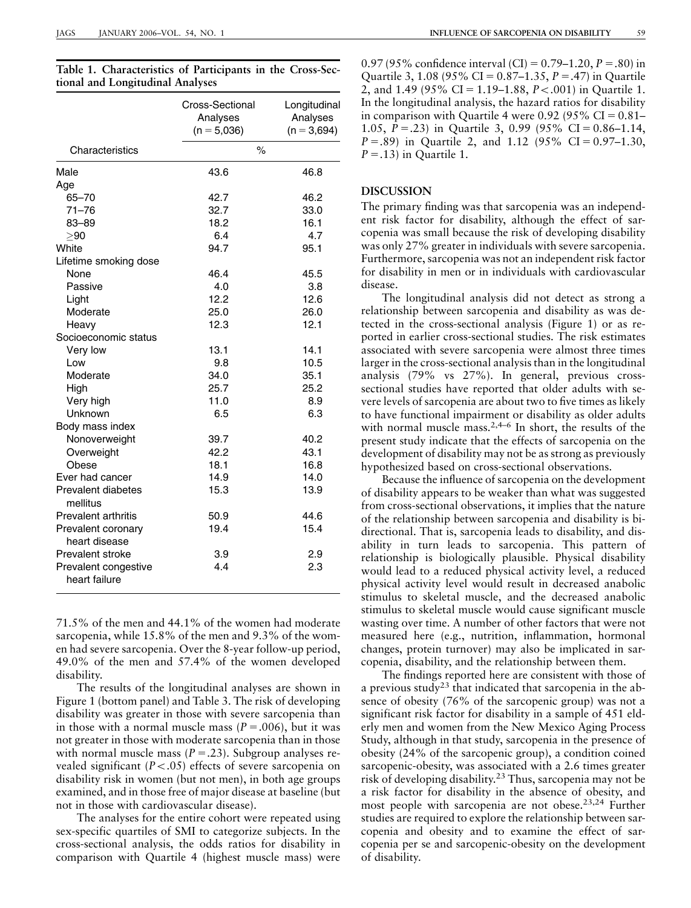|                                       | Cross-Sectional<br>Analyses<br>$(n = 5,036)$ | Longitudinal<br>Analyses<br>$(n = 3,694)$ |
|---------------------------------------|----------------------------------------------|-------------------------------------------|
| Characteristics                       | $\%$                                         |                                           |
| Male                                  | 43.6                                         | 46.8                                      |
| Age                                   |                                              |                                           |
| 65-70                                 | 42.7                                         | 46.2                                      |
| $71 - 76$                             | 32.7                                         | 33.0                                      |
| 83-89                                 | 18.2                                         | 16.1                                      |
| > 90                                  | 6.4                                          | 4.7                                       |
| White                                 | 94.7                                         | 95.1                                      |
| Lifetime smoking dose                 |                                              |                                           |
| None                                  | 46.4                                         | 45.5                                      |
| Passive                               | 4.0                                          | 3.8                                       |
| Light                                 | 12.2                                         | 12.6                                      |
| Moderate                              | 25.0                                         | 26.0                                      |
| Heavy                                 | 12.3                                         | 12.1                                      |
| Socioeconomic status                  |                                              |                                           |
| Very low                              | 13.1                                         | 14.1                                      |
| Low                                   | 9.8                                          | 10.5                                      |
| Moderate                              | 34.0                                         | 35.1                                      |
| High                                  | 25.7                                         | 25.2                                      |
| Very high                             | 11.0                                         | 8.9                                       |
| Unknown                               | 6.5                                          | 6.3                                       |
| Body mass index                       |                                              |                                           |
| Nonoverweight                         | 39.7                                         | 40.2                                      |
| Overweight                            | 42.2                                         | 43.1                                      |
| Obese                                 | 18.1                                         | 16.8                                      |
| Ever had cancer                       | 14.9                                         | 14.0                                      |
| <b>Prevalent diabetes</b>             | 15.3                                         | 13.9                                      |
| mellitus                              |                                              |                                           |
| Prevalent arthritis                   | 50.9                                         | 44.6                                      |
| Prevalent coronary                    | 19.4                                         | 15.4                                      |
| heart disease                         |                                              |                                           |
| Prevalent stroke                      | 3.9                                          | 2.9                                       |
| Prevalent congestive<br>heart failure | 4.4                                          | 2.3                                       |

Table 1. Characteristics of Participants in the Cross-Sectional and Longitudinal Analyses

71.5% of the men and 44.1% of the women had moderate sarcopenia, while 15.8% of the men and 9.3% of the women had severe sarcopenia. Over the 8-year follow-up period, 49.0% of the men and 57.4% of the women developed disability.

The results of the longitudinal analyses are shown in Figure 1 (bottom panel) and Table 3. The risk of developing disability was greater in those with severe sarcopenia than in those with a normal muscle mass  $(P = .006)$ , but it was not greater in those with moderate sarcopenia than in those with normal muscle mass  $(P = .23)$ . Subgroup analyses revealed significant  $(P < .05)$  effects of severe sarcopenia on disability risk in women (but not men), in both age groups examined, and in those free of major disease at baseline (but not in those with cardiovascular disease).

The analyses for the entire cohort were repeated using sex-specific quartiles of SMI to categorize subjects. In the cross-sectional analysis, the odds ratios for disability in comparison with Quartile 4 (highest muscle mass) were 0.97 (95% confidence interval  $(CI) = 0.79-1.20$ ,  $P = .80$ ) in Quartile 3, 1.08 (95% CI =  $0.87-1.35$ , P = .47) in Quartile 2, and 1.49 (95% CI = 1.19–1.88,  $P < .001$ ) in Quartile 1. In the longitudinal analysis, the hazard ratios for disability in comparison with Quartile 4 were 0.92 (95%  $CI = 0.81-$ 1.05,  $P = .23$ ) in Quartile 3, 0.99 (95% CI = 0.86–1.14,  $P = .89$ ) in Quartile 2, and 1.12 (95% CI = 0.97–1.30,  $P = .13$ ) in Quartile 1.

#### **DISCUSSION**

The primary finding was that sarcopenia was an independent risk factor for disability, although the effect of sarcopenia was small because the risk of developing disability was only 27% greater in individuals with severe sarcopenia. Furthermore, sarcopenia was not an independent risk factor for disability in men or in individuals with cardiovascular disease.

The longitudinal analysis did not detect as strong a relationship between sarcopenia and disability as was detected in the cross-sectional analysis (Figure 1) or as reported in earlier cross-sectional studies. The risk estimates associated with severe sarcopenia were almost three times larger in the cross-sectional analysis than in the longitudinal analysis (79% vs 27%). In general, previous crosssectional studies have reported that older adults with severe levels of sarcopenia are about two to five times as likely to have functional impairment or disability as older adults with normal muscle mass. $2,4-6$  In short, the results of the present study indicate that the effects of sarcopenia on the development of disability may not be as strong as previously hypothesized based on cross-sectional observations.

Because the influence of sarcopenia on the development of disability appears to be weaker than what was suggested from cross-sectional observations, it implies that the nature of the relationship between sarcopenia and disability is bidirectional. That is, sarcopenia leads to disability, and disability in turn leads to sarcopenia. This pattern of relationship is biologically plausible. Physical disability would lead to a reduced physical activity level, a reduced physical activity level would result in decreased anabolic stimulus to skeletal muscle, and the decreased anabolic stimulus to skeletal muscle would cause significant muscle wasting over time. A number of other factors that were not measured here (e.g., nutrition, inflammation, hormonal changes, protein turnover) may also be implicated in sarcopenia, disability, and the relationship between them.

The findings reported here are consistent with those of a previous study<sup>23</sup> that indicated that sarcopenia in the absence of obesity (76% of the sarcopenic group) was not a significant risk factor for disability in a sample of 451 elderly men and women from the New Mexico Aging Process Study, although in that study, sarcopenia in the presence of obesity (24% of the sarcopenic group), a condition coined sarcopenic-obesity, was associated with a 2.6 times greater risk of developing disability.23 Thus, sarcopenia may not be a risk factor for disability in the absence of obesity, and most people with sarcopenia are not obese.23,24 Further studies are required to explore the relationship between sarcopenia and obesity and to examine the effect of sarcopenia per se and sarcopenic-obesity on the development of disability.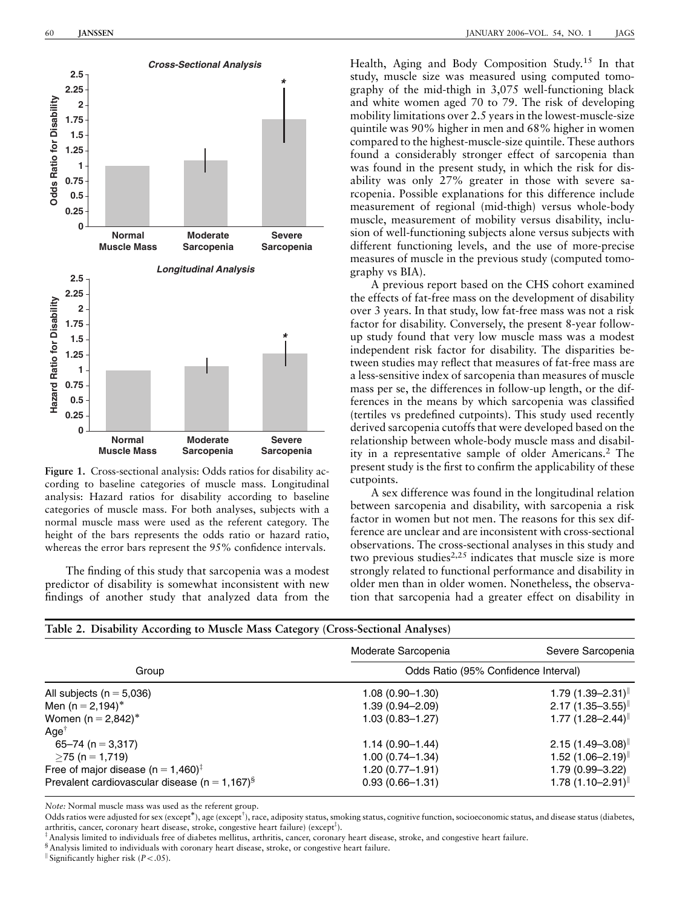

Figure 1. Cross-sectional analysis: Odds ratios for disability according to baseline categories of muscle mass. Longitudinal analysis: Hazard ratios for disability according to baseline categories of muscle mass. For both analyses, subjects with a normal muscle mass were used as the referent category. The height of the bars represents the odds ratio or hazard ratio, whereas the error bars represent the 95% confidence intervals.

The finding of this study that sarcopenia was a modest predictor of disability is somewhat inconsistent with new findings of another study that analyzed data from the

Health, Aging and Body Composition Study.15 In that study, muscle size was measured using computed tomography of the mid-thigh in 3,075 well-functioning black and white women aged 70 to 79. The risk of developing mobility limitations over 2.5 years in the lowest-muscle-size quintile was 90% higher in men and 68% higher in women compared to the highest-muscle-size quintile. These authors found a considerably stronger effect of sarcopenia than was found in the present study, in which the risk for disability was only 27% greater in those with severe sarcopenia. Possible explanations for this difference include measurement of regional (mid-thigh) versus whole-body muscle, measurement of mobility versus disability, inclusion of well-functioning subjects alone versus subjects with different functioning levels, and the use of more-precise measures of muscle in the previous study (computed tomography vs BIA).

A previous report based on the CHS cohort examined the effects of fat-free mass on the development of disability over 3 years. In that study, low fat-free mass was not a risk factor for disability. Conversely, the present 8-year followup study found that very low muscle mass was a modest independent risk factor for disability. The disparities between studies may reflect that measures of fat-free mass are a less-sensitive index of sarcopenia than measures of muscle mass per se, the differences in follow-up length, or the differences in the means by which sarcopenia was classified (tertiles vs predefined cutpoints). This study used recently derived sarcopenia cutoffs that were developed based on the relationship between whole-body muscle mass and disability in a representative sample of older Americans.2 The present study is the first to confirm the applicability of these cutpoints.

A sex difference was found in the longitudinal relation between sarcopenia and disability, with sarcopenia a risk factor in women but not men. The reasons for this sex difference are unclear and are inconsistent with cross-sectional observations. The cross-sectional analyses in this study and two previous studies<sup>2,25</sup> indicates that muscle size is more strongly related to functional performance and disability in older men than in older women. Nonetheless, the observation that sarcopenia had a greater effect on disability in

| Table 2. Disability According to Muscle Mass Category (Cross-Sectional Analyses) |                                      |                                  |  |
|----------------------------------------------------------------------------------|--------------------------------------|----------------------------------|--|
|                                                                                  | Moderate Sarcopenia                  | Severe Sarcopenia                |  |
| Group                                                                            | Odds Ratio (95% Confidence Interval) |                                  |  |
| All subjects ( $n = 5,036$ )                                                     | $1.08(0.90 - 1.30)$                  | 1.79 $(1.39 - 2.31)^{\parallel}$ |  |
| Men (n = 2,194)*                                                                 | 1.39 (0.94-2.09)                     | $2.17(1.35 - 3.55)^{  }$         |  |
| Women $(n = 2,842)^*$                                                            | $1.03(0.83 - 1.27)$                  | $1.77(1.28 - 2.44)$              |  |
| $Aae^{\dagger}$                                                                  |                                      |                                  |  |
| $65 - 74$ (n = 3,317)                                                            | $1.14(0.90 - 1.44)$                  | $2.15(1.49 - 3.08)$              |  |
| $>$ 75 (n = 1,719)                                                               | $1.00(0.74 - 1.34)$                  | $1.52$ (1.06-2.19)               |  |
| Free of major disease (n = $1,460$ ) <sup><math>\ddagger</math></sup>            | 1.20 (0.77–1.91)                     | $1.79(0.99 - 3.22)$              |  |
| Prevalent cardiovascular disease ( $n = 1,167$ ) <sup>§</sup>                    | $0.93(0.66 - 1.31)$                  | $1.78(1.10 - 2.91)$              |  |
|                                                                                  |                                      |                                  |  |

Table 2. Disability According to Muscle Mass Category (Cross-Sectional Analyses)

Note: Normal muscle mass was used as the referent group.

roser roman mased mass was asea as the referent group.<br>Odds ratios were adjusted for sex (except\*), age (except<sup>†</sup>), race, adiposity status, smoking status, cognitive function, socioeconomic status, and disease status (dia arthritis, cancer, coronary heart disease, stroke, congestive heart failure) (except<sup>†</sup>).<br> $\frac{1}{2}$ Anglycia limited to individuale free of dishetes mellitus, exthritis, cancer, coronary

 $^{\ddagger}$ Analysis limited to individuals free of diabetes mellitus, arthritis, cancer, coronary heart disease, stroke, and congestive heart failure.

§ Analysis limited to individuals with coronary heart disease, stroke, or congestive heart failure.

<sup>*ll*</sup> Significantly higher risk ( $P < .05$ ).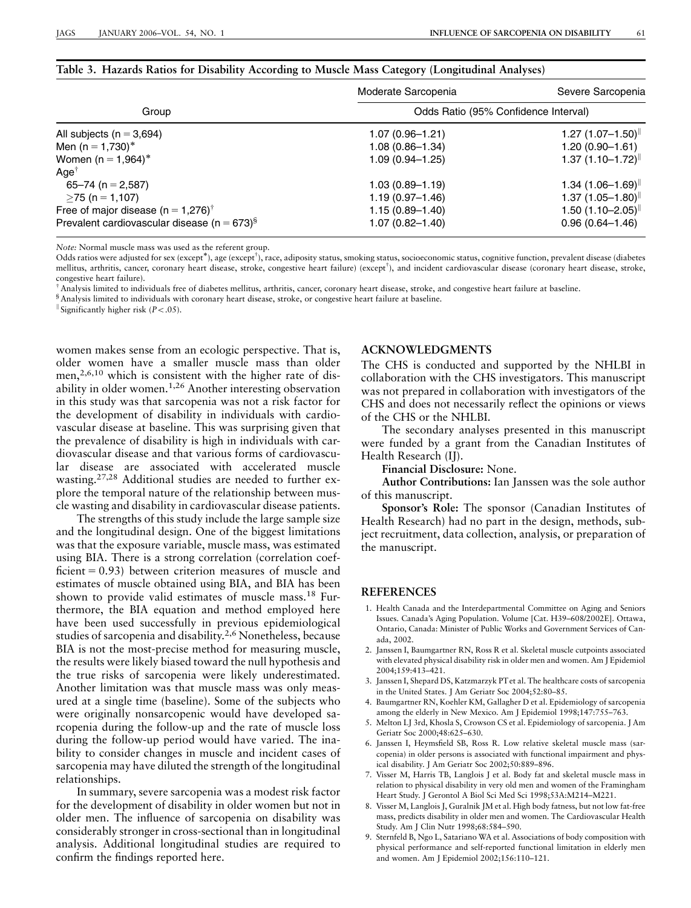#### Table 3. Hazards Ratios for Disability According to Muscle Mass Category (Longitudinal Analyses)

|                                                             | Moderate Sarcopenia                  | Severe Sarcopenia         |  |
|-------------------------------------------------------------|--------------------------------------|---------------------------|--|
| Group                                                       | Odds Ratio (95% Confidence Interval) |                           |  |
| All subjects ( $n = 3,694$ )                                | $1.07(0.96 - 1.21)$                  | $1.27(1.07 - 1.50)$       |  |
| Men $(n = 1,730)^*$                                         | $1.08(0.86 - 1.34)$                  | $1.20(0.90 - 1.61)$       |  |
| Women $(n = 1,964)^*$                                       | $1.09(0.94 - 1.25)$                  | 1.37 $(1.10 - 1.72)^{  }$ |  |
| $Age^{\dagger}$                                             |                                      |                           |  |
| $65 - 74$ (n = 2,587)                                       | $1.03(0.89 - 1.19)$                  | $1.34(1.06 - 1.69)$       |  |
| $\geq$ 75 (n = 1,107)                                       | $1.19(0.97 - 1.46)$                  | $1.37(1.05 - 1.80)$       |  |
| Free of major disease (n = $1,276$ ) <sup>†</sup>           | $1.15(0.89 - 1.40)$                  | $1.50(1.10 - 2.05)$       |  |
| Prevalent cardiovascular disease ( $n = 673$ ) <sup>§</sup> | $1.07(0.82 - 1.40)$                  | $0.96(0.64 - 1.46)$       |  |

Note: Normal muscle mass was used as the referent group.

nd is a matter that the seculus interest the content group.<br>Odds ratios were adjusted for sex (except\*), age (except<sup>†</sup>), race, adiposity status, smoking status, socioeconomic status, cognitive function, prevalent disease mellitus, arthritis, cancer, coronary heart disease, stroke, congestive heart failure) (except'), and incident cardiovascular disease (coronary heart disease, stroke, congestive heart failure).

' Analysis limited to individuals free of diabetes mellitus, arthritis, cancer, coronary heart disease, stroke, and congestive heart failure at baseline.<br><sup>§</sup> Analysis limited to individuals with coronary heart disease, str

<sup>§</sup> Analysis limited to individuals with coronary heart disease, stroke, or congestive heart failure at baseline.

 $\parallel$  Significantly higher risk (P<.05).

women makes sense from an ecologic perspective. That is, older women have a smaller muscle mass than older men,  $2,6,10$  which is consistent with the higher rate of disability in older women.1,26 Another interesting observation in this study was that sarcopenia was not a risk factor for the development of disability in individuals with cardiovascular disease at baseline. This was surprising given that the prevalence of disability is high in individuals with cardiovascular disease and that various forms of cardiovascular disease are associated with accelerated muscle wasting.27,28 Additional studies are needed to further explore the temporal nature of the relationship between muscle wasting and disability in cardiovascular disease patients.

The strengths of this study include the large sample size and the longitudinal design. One of the biggest limitations was that the exposure variable, muscle mass, was estimated using BIA. There is a strong correlation (correlation coefficient  $= 0.93$ ) between criterion measures of muscle and estimates of muscle obtained using BIA, and BIA has been shown to provide valid estimates of muscle mass.<sup>18</sup> Furthermore, the BIA equation and method employed here have been used successfully in previous epidemiological studies of sarcopenia and disability.<sup>2,6</sup> Nonetheless, because BIA is not the most-precise method for measuring muscle, the results were likely biased toward the null hypothesis and the true risks of sarcopenia were likely underestimated. Another limitation was that muscle mass was only measured at a single time (baseline). Some of the subjects who were originally nonsarcopenic would have developed sarcopenia during the follow-up and the rate of muscle loss during the follow-up period would have varied. The inability to consider changes in muscle and incident cases of sarcopenia may have diluted the strength of the longitudinal relationships.

In summary, severe sarcopenia was a modest risk factor for the development of disability in older women but not in older men. The influence of sarcopenia on disability was considerably stronger in cross-sectional than in longitudinal analysis. Additional longitudinal studies are required to confirm the findings reported here.

## ACKNOWLEDGMENTS

The CHS is conducted and supported by the NHLBI in collaboration with the CHS investigators. This manuscript was not prepared in collaboration with investigators of the CHS and does not necessarily reflect the opinions or views of the CHS or the NHLBI.

The secondary analyses presented in this manuscript were funded by a grant from the Canadian Institutes of Health Research (IJ).

Financial Disclosure: None.

Author Contributions: Ian Janssen was the sole author of this manuscript.

Sponsor's Role: The sponsor (Canadian Institutes of Health Research) had no part in the design, methods, subject recruitment, data collection, analysis, or preparation of the manuscript.

#### **REFERENCES**

- 1. Health Canada and the Interdepartmental Committee on Aging and Seniors Issues. Canada's Aging Population. Volume [Cat. H39–608/2002E]. Ottawa, Ontario, Canada: Minister of Public Works and Government Services of Canada, 2002.
- 2. Janssen I, Baumgartner RN, Ross R et al. Skeletal muscle cutpoints associated with elevated physical disability risk in older men and women. Am J Epidemiol 2004;159:413–421.
- 3. Janssen I, Shepard DS, Katzmarzyk PT et al. The healthcare costs of sarcopenia in the United States. J Am Geriatr Soc 2004;52:80–85.
- 4. Baumgartner RN, Koehler KM, Gallagher D et al. Epidemiology of sarcopenia among the elderly in New Mexico. Am J Epidemiol 1998;147:755–763.
- 5. Melton LJ 3rd, Khosla S, Crowson CS et al. Epidemiology of sarcopenia. J Am Geriatr Soc 2000;48:625–630.
- 6. Janssen I, Heymsfield SB, Ross R. Low relative skeletal muscle mass (sarcopenia) in older persons is associated with functional impairment and physical disability. J Am Geriatr Soc 2002;50:889–896.
- 7. Visser M, Harris TB, Langlois J et al. Body fat and skeletal muscle mass in relation to physical disability in very old men and women of the Framingham Heart Study. J Gerontol A Biol Sci Med Sci 1998;53A:M214–M221.
- 8. Visser M, Langlois J, Guralnik JM et al. High body fatness, but not low fat-free mass, predicts disability in older men and women. The Cardiovascular Health Study. Am J Clin Nutr 1998;68:584–590.
- 9. Sternfeld B, Ngo L, Satariano WA et al. Associations of body composition with physical performance and self-reported functional limitation in elderly men and women. Am J Epidemiol 2002;156:110–121.